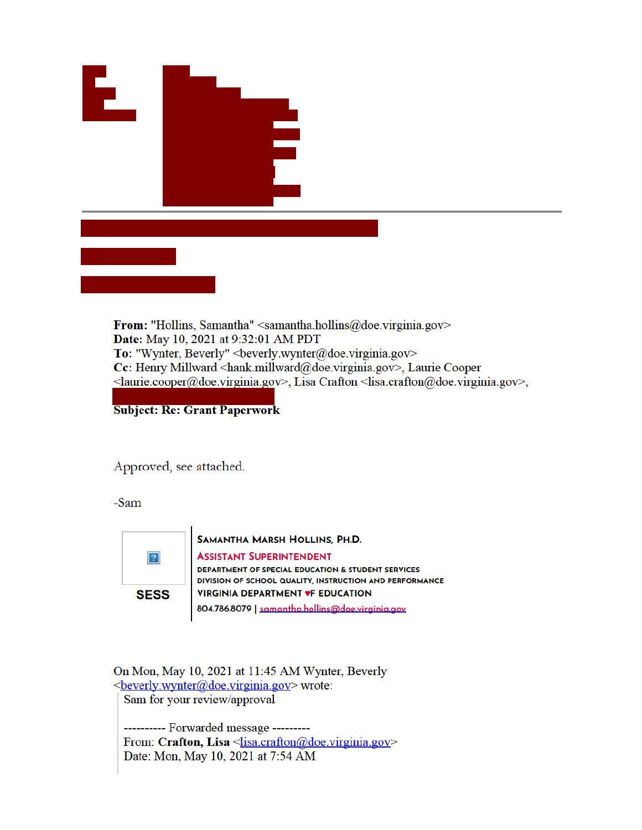

From: "Hollins, Samantha" <samantha.hollins@doe.virginia.gov> Date: May 10, 2021 at 9:32:01 AM PDT To: "Wynter, Beverly" <br/> <br/>beverly.wynter@doe.virginia.gov> Cc: Henry Millward <hank.millward@doe.virginia.gov>, Laurie Cooper <laurie.cooper@doe.virginia.gov>, Lisa Crafton <lisa.crafton@doe.virginia.gov>,

**Subject: Re: Grant Paperwork** 

Approved, see attached.

-Sam



SAMANTHA MARSH HOLLINS, PH.D. **ASSISTANT SUPERINTENDENT** DEPARTMENT OF SPECIAL EDUCATION & STUDENT SERVICES DIVISION OF SCHOOL QUALITY, INSTRUCTION AND PERFORMANCE **VIRGINIA DEPARTMENT VF EDUCATION** 804.786.8079 | samantha.hollins@doe.virginia.gov

On Mon, May 10, 2021 at 11:45 AM Wynter, Beverly <br />
<u>beverly.wynter@doe.virginia.gov</u>> wrote: Sam for your review/approval

--------- Forwarded message ---------From: Crafton, Lisa <<u>lisa.crafton@doe.virginia.gov</u>> Date: Mon, May 10, 2021 at 7:54 AM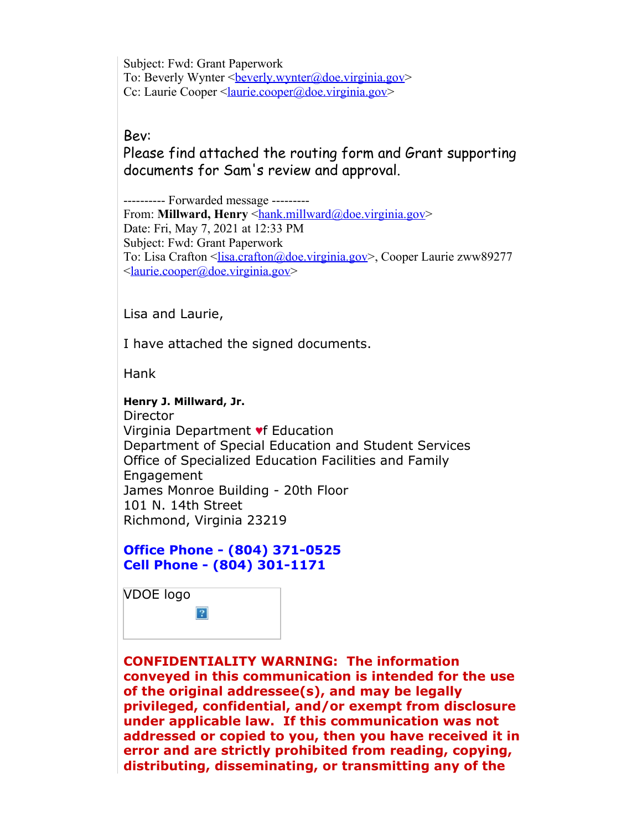Subject: Fwd: Grant Paperwork To: Beverly Wynter <br/>beverly.wynter@doe.virginia.gov> Cc: Laurie Cooper <<u>laurie.cooper@doe.virginia.gov</u>>

Bev:

Please find attached the routing form and Grant supporting documents for Sam's review and approval.

---------- Forwarded message --------- From: **Millward, Henry** <hank.millward@doe.virginia.gov> Date: Fri, May 7, 2021 at 12:33 PM Subject: Fwd: Grant Paperwork To: Lisa Crafton <lisa.crafton@doe.virginia.gov>, Cooper Laurie zww89277 <laurie.cooper@doe.virginia.gov>

Lisa and Laurie,

I have attached the signed documents.

Hank

**Henry J. Millward, Jr.**

Director Virginia Department ♥f Education Department of Special Education and Student Services Office of Specialized Education Facilities and Family Engagement James Monroe Building - 20th Floor 101 N. 14th Street Richmond, Virginia 23219

**Office Phone - (804) 371-0525 Cell Phone - (804) 301-1171**



**CONFIDENTIALITY WARNING: The information conveyed in this communication is intended for the use of the original addressee(s), and may be legally privileged, confidential, and/or exempt from disclosure under applicable law. If this communication was not addressed or copied to you, then you have received it in error and are strictly prohibited from reading, copying, distributing, disseminating, or transmitting any of the**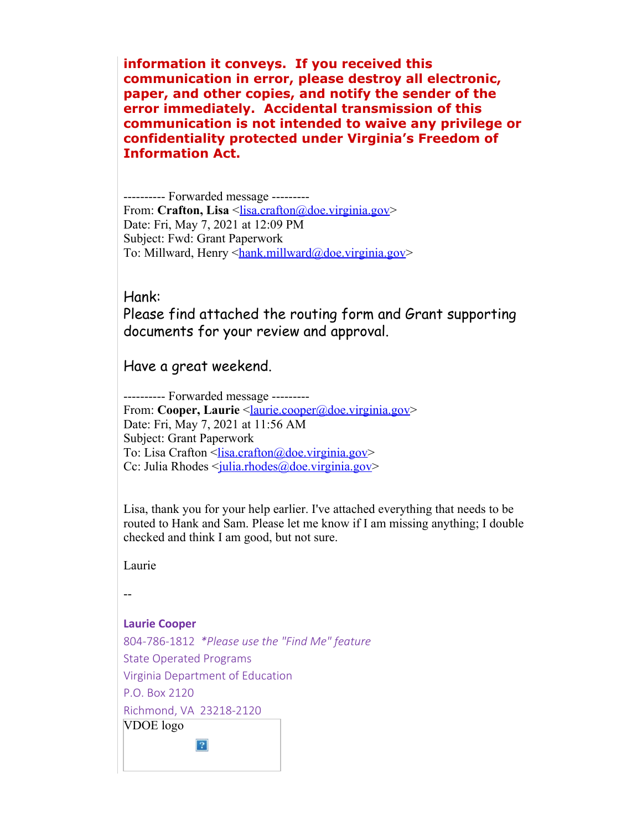**information it conveys. If you received this communication in error, please destroy all electronic, paper, and other copies, and notify the sender of the error immediately. Accidental transmission of this communication is not intended to waive any privilege or confidentiality protected under Virginia's Freedom of Information Act.**

---------- Forwarded message --------- From: Crafton, Lisa <lisa.crafton@doe.virginia.gov> Date: Fri, May 7, 2021 at 12:09 PM Subject: Fwd: Grant Paperwork To: Millward, Henry <hank.millward@doe.virginia.gov>

## Hank:

Please find attached the routing form and Grant supporting documents for your review and approval.

Have a great weekend.

---------- Forwarded message --------- From: Cooper, Laurie <**laurie.cooper@doe.virginia.gov>** Date: Fri, May 7, 2021 at 11:56 AM Subject: Grant Paperwork To: Lisa Crafton  $\frac{\text{N}}{\text{N}}$   $\frac{\text{N}}{\text{N}}$ Cc: Julia Rhodes <*julia.rhodes@doe.virginia.gov>* 

Lisa, thank you for your help earlier. I've attached everything that needs to be routed to Hank and Sam. Please let me know if I am missing anything; I double checked and think I am good, but not sure.

Laurie

--

## **Laurie Cooper**

804-786-1812 *\*Please use the "Find Me" feature* State Operated Programs Virginia Department of Education P.O. Box 2120 Richmond, VA 23218-2120 VDOE logo $\overline{P}$